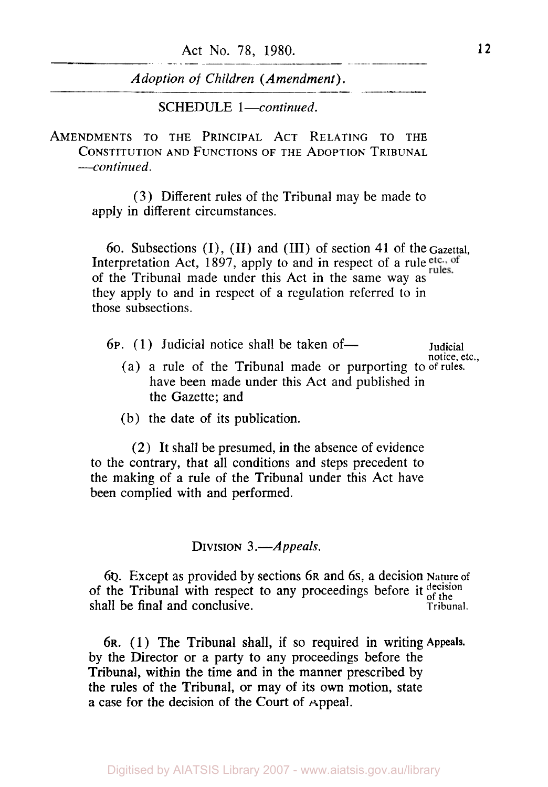Act No. **78,** 1980. **12** 

*Adoption* of *Children (Amendment).* 

SCHEDULE 1-continued.

AMENDMENTS **TO** THE PRINCIPAL ACT RELATING **TO** THE CONSTITUTION AND FUNCTIONS **OF** THE ADOPTION TRIBUNAL *---continued.* 

> (3) Different rules of the Tribunal may be made to apply in different circumstances.

60. Subsections (I), (II) and (III) of section **41** of the Gazettal, Interpretation Act, 1897, apply to and in respect of a rule etc., of rules. of the Tribunal made under this Act in the same way as they apply to and in respect of a regulation referred to in those subsections.

6p. (1) Judicial notice shall be taken of -- Judicial

- (a) a rule of the Tribunal made or purporting to of rules. have been made under this Act and published in the Gazette; and notice, etc.,
- (b) the date of its publication.

**(2)** It shall be presumed, in the absence of evidence to the contrary, that all conditions and steps precedent to the making of a rule of the Tribunal under this Act have been complied with and performed.

### DIVISION 3.*-Appeals*.

6Q. Except as provided by sections 6R and 6s, a decision Nature of of the Tribunal with respect to any proceedings before it  $_{\text{of the}}^{\text{decision}}$ shall be final and conclusive. Tribunal.

**6R.** (1 ) The Tribunal shall, if so required in writing **Appeals.**  by the Director or a party to any proceedings before the Tribunal, within the time and in the manner prescribed by the rules of the Tribunal, or may of its own motion, state **a** case for the decision of the Court of Appeal.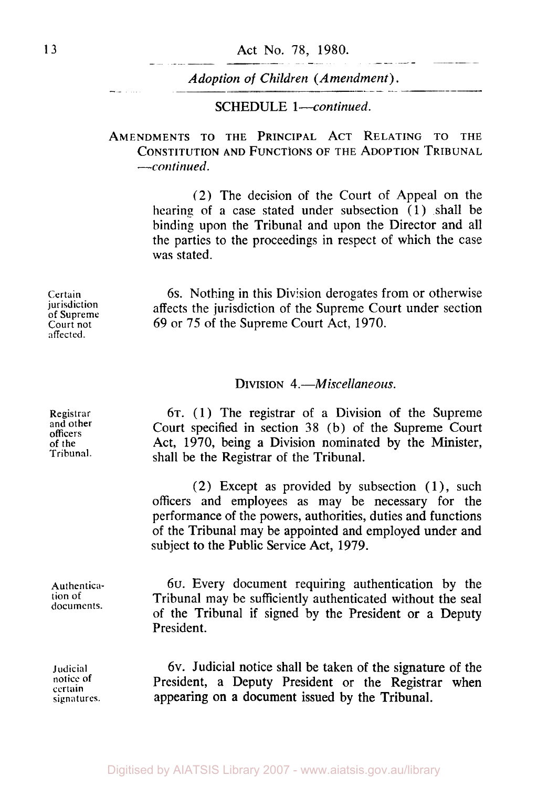#### SCHEDULE *1-continued.*

AMENDMENTS TO THE PRINCIPAL ACT RELATING **TO** THE CONSTITUTION AND FUNCTIONS **OF** THE ADOPTION TRIBUNAL *--continued.* 

> (2) The decision of the Court of Appeal on the hearing of a case stated under subsection *(1)* shall be binding upon the Tribunal and upon the Director and all the parties to the proceedings in respect of which the case was stated.

> 6s. Nothing in this Division derogates from or otherwise affects the jurisdiction of the Supreme Court under section *69* or *75* of the Supreme Court Act, *1970.*

## DIVISION *4.-Miscellaneous.*

6T. *(1)* The registrar of a Division of the Supreme Court specified in section **38** (b) of the Supreme Court Act, *1970,* being a Division nominated by the Minister, shall be the Registrar of the Tribunal.

**(2)** Except as provided by subsection *(1),* such officers and employees as may be necessary for the performance of the powers, authorities, duties and functions of the Tribunal may be appointed and employed under and subject to the Public Service Act, *1979.* 

6u. Every document requiring authentication by the Tribunal may be sufficiently authenticated without the seal of the Tribunal if signed by the President or a Deputy President.

6v. Judicial notice shall be taken of the signature **of** the President, a Deputy President or the Registrar when appearing **on** a document issued by the Tribunal.

**Certain jurisdiction**  of **Supreme Court not affected.** 

**Registrar and other officers**  of **the Tribunal.** 

**Authentication of documents.** 

**Judicial**  notice of **certain signatures.**  and the company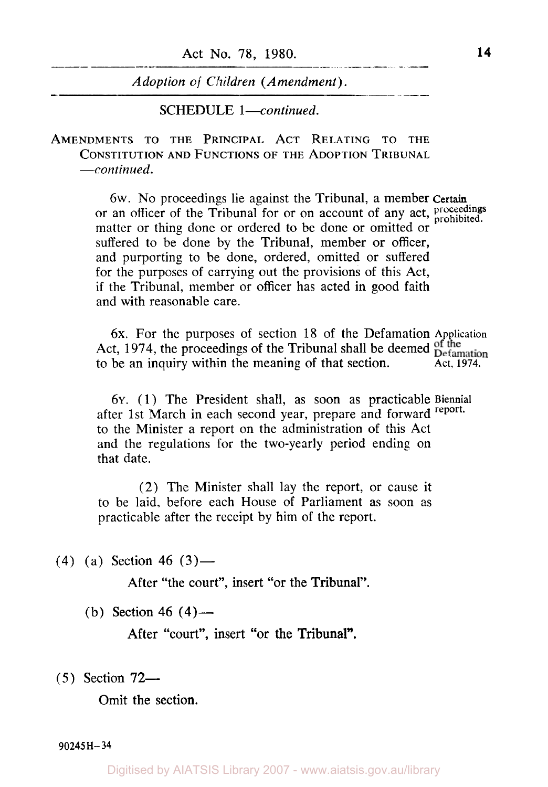SCHEDULE *l-continued.* 

AMENDMENTS TO THE PRINCIPAL ACT RELATING TO THE CONSTITUTION AND FUNCTIONS **OF** THE ADOPTION TRIBUNAL *--continued.* 

> 6w. No proceedings lie against the Tribunal, **a** member **Certain**  or an officer of the Tribunal for or on account of any act, proceedings matter or thing done or ordered to be done or omitted or suffered to be done by the Tribunal, member or officer, and purporting to be done, ordered, omitted or suffered for the purposes of carrying out the provisions of this Act, if the Tribunal, member or officer has acted in good faith and with reasonable care.

> **6x.** For the purposes of section 18 of the Defamation **Application**  Act, 1974, the proceedings of the Tribunal shall be deemed permation to be an inquiry within the meaning of that section. Act, 1974.

6Y. (1) The President shall, as soon as practicable **Biennial**  after 1st March in each second year, prepare and forward **report.**  to the Minister a report on the administration of this Act and the regulations for the two-yearly period ending on that date.

(2) The Minister shall lay the report, or cause it to be laid, before each House of Parliament as soon as practicable after the receipt by him of the report.

**(4)** (a) Section **46 (3)-** 

After "the court", insert "or the Tribunal".

(b) Section **46 (4)-** 

After "court", insert "or the Tribunal".

*(5)* Section **72-** 

Omit the section.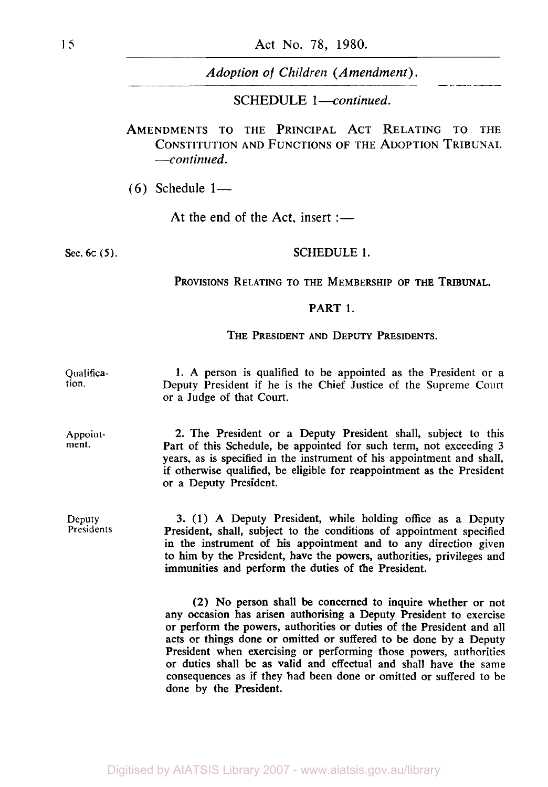**SCHEDULE 1-continued.** 

**AMENDMENTS TO THE PRINCIPAL ACT RELATING TO THE CONSTITUTION AND FUNCTIONS OF THE ADOPTION TRIBUNAL** *-continued.* 

(6) Schedule 1-

At the end of the Act, insert :-

#### **Sec. 6c (5). SCHEDULE 1.**

PROVISIONS RELATING TO THE MEMBERSHIP OF THE TRIBUNAL.

#### PART **1.**

THE PRESIDENT AND DEPUTY PRESIDENTS.

**Qualifica**tion. **1.** A person is qualified to be appointed **as** the President or a Deputy President if he is the Chief Justice of the Supreme Court or a Judge of that Court.

**Appoint**ment. 2. The President or a Deputy President shall, subject to this Part of this Schedule, be appointed for such term, not exceeding 3 years, as is specified in the instrument of his appointment and shall, if otherwise qualified, be eligible for reappointment as the President or a Deputy President.

**Deputy**  Presidents 3. (1) A Deputy President, while holding office as a Deputy President, shall, subject to the conditions of appointment specified in the instrument of his appointment and to any direction given to him by the President, have the powers, authorities, privileges and immunities and perform the duties of the President.

> (2) No person shall be concerned to inquire whether or not any occasion has arisen authorising a Deputy President to exercise or perform the powers, authorities or duties of the President and all acts or things done or omitted or suffered to be done by a Deputy President when exercising or performing those powers, authorities or duties shall be as valid and effectual and shall have the same consequences as if they had been done or omitted or suffered to be done by the President.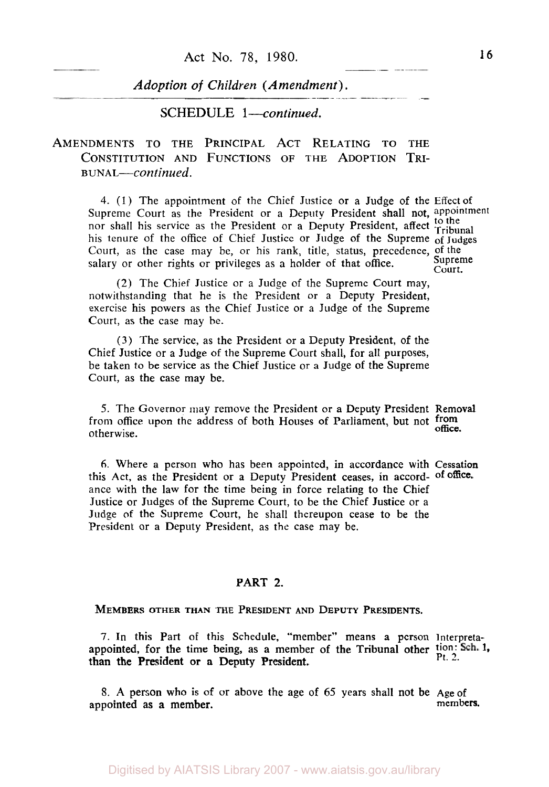**SCHEDULE** 1-continued.

**AMENDMENTS TO THE PRINCIPAL ACT RELATING TO THE**  CONSTITUTION AND FUNCTIONS OF THE ADOPTION TRI-**BUNAL-continued.** 

4. **(1** ) The appointment of the Chief Justice or a Judge of the Effect of Supreme Court as the President or a Deputy President shall not, appointment nor shall his service as the President or a Deputy President, affect Tribunal his tenure of the office of Chief Justice or Judge of the Supreme **of** Judges Court, as the case may be, or his rank, title, status, precedence, of the calery or other rights or privileges as a holder of that office. Supreme salary or other rights or privileges as a holder of that office.  $\sum_{\text{Court}}$ 

~~~~<br>~~~

(2) The Chief Justice or a Judge of the Supreme Court may, notwithstanding that he is the President or a Deputy President, exercise his powers as the Chief Justice or a Judge of the Supreme Court, as the case may be.

**(3)** The service, as the President or a Deputy President, of the Chief Justice or a Judge of the Supreme Court shall, for all purposes, be taken to be service **as** the Chief Justice or a Judge of the Supreme Court, as the case may be.

**5.** The Governor may remove the President or a Deputy President Removal from office upon the address of both Houses of Parliament, but not from otherwise.

**6.** Where a person who has been appointed, in accordance with Cessation this Act, as the President or a Deputy President ceases, in accord- of office. ance with the law for the time being in force relating to the Chief Justice or Judges of the Supreme Court, to be the Chief Justice or a Judge of the Supreme Court, he shall thereupon cease to be the President or a Deputy President, as the case may be.

#### **PART 2.**

MEMBERS OTHER THAN THE PRESIDENT AND DEPUTY PRESIDENTS.

7. In this Part of this Schedule, "member" means a person Interpretaappointed, for the time being, as a member of the Tribunal other  $\frac{\text{tion: Sch. 1}}{\text{Pt. 2}}$ . than the President or **a** Deputy President.

8. **A** person who **is** of or above the age of 65 years shall not be Age of appointed as a member.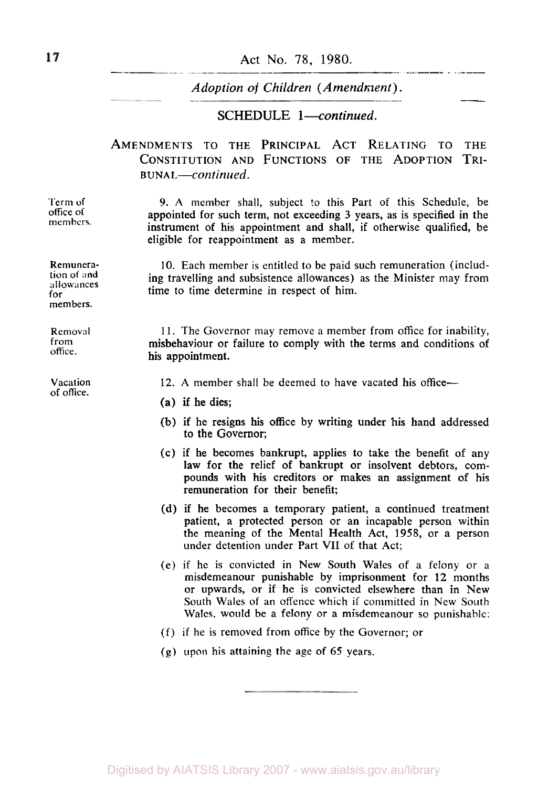#### **Act** No. **78, 1980.**

*Adoption* of *Children (Amendment).* 

#### **SCHEDULE** *l-continued.*

## **AMENDMENTS TO THE PRINCIPAL ACT RELATING** TO **THE**  CONSTITUTION AND FUNCTIONS OF THE ADOPTION TRI-**BUNAL-Continued.**

**9. A** member shall, subject *to* this Part of this Schedule, be appointed for such term, not exceeding **3** years, as is specified in the instrument of his appointment and shall, if otherwise qualified, be eligible for reappointment as a member.

10. Each member is entitled to be paid such remuneration (including travelling and subsistence allowances) as the Minister may from time to time determine in respect of him.

11. The Governor may remove a member from office for inability, misbehaviour or failure to comply with the terms and conditions of his appointment.

12. A member shall be deemed to have vacated his office--

- **(a)** if he dies;
- (b) if he resigns his office by writing under his hand addressed to the Governor;
- (c) if he becomes bankrupt, applies to take the benefit of any law for the relief of bankrupt or insolvent debtors, compounds with his creditors **or** makes an assignment of his remuneration for their benefit;
- **(d)** if he becomes a temporary patient, a continued treatment patient, a protected person or an incapable person within the meaning of the Mental Health Act, 1958, or a person under detention under Part **VII** *of* that Act;
- (e) if he is convicted in New South Wales of a felony or a misdemeanour punishable by imprisonment €or **12** months or upwards, or if he is convicted elsewhere than in New South Wales of an offence which if committed in New South Wales. would be a felony or a misdemeanour so punishable:
- (f) if he is removed from office by the Governor; or
- (g) upon his attaining the age of *65* years.

**Remunera-**

Term **of**  office **of members.** 

**tion of and allowances for members.** 

**Removal from**  office.

**Vacation of** office.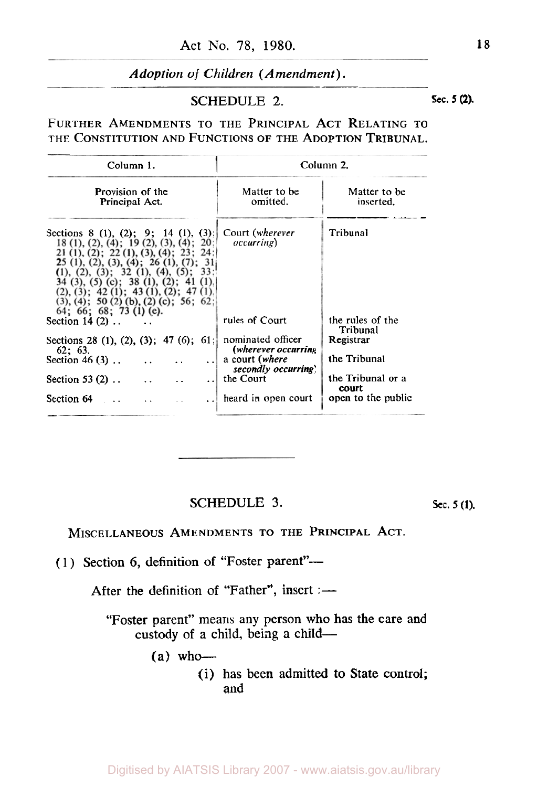# SCHEDULE 2. **Sec. 5 (2). Sec. 5 (2).**

FURTHER AMENDMENTS TO THE PRINCIPAL ACT RELATING TO THE CONSTITUTION AND FUNCTIONS OF THE ADOPTION TRIBUNAL.

| Column 1.<br>Provision of the<br>Principal Act.                                                                                                                                                                                                                                                                                                                                             | Column 2.                                 |                              |
|---------------------------------------------------------------------------------------------------------------------------------------------------------------------------------------------------------------------------------------------------------------------------------------------------------------------------------------------------------------------------------------------|-------------------------------------------|------------------------------|
|                                                                                                                                                                                                                                                                                                                                                                                             | Matter to be<br>omitted.                  | Matter to be<br>inserted.    |
| Sections 8 (1), (2): 9; 14 (1), (3):<br>18 (1), (2), (4); 19 (2), (3), (4); 20<br>$21$ (1), (2); 22 (1), (3), (4); 23; 24:<br><b>2</b> 5 (1), (2), (3), (4); 26 (1), (7); 31<br>(1), (2), (3); 32 (1), (4), (5); 33;<br>$34$ (3), (5) (c); 38 (1), (2); 41 (1)<br>(2), (3); 42 (1); 43 (1), (2); 47 (1)<br>$(3)$ , $(4)$ ; 50 $(2)$ $(b)$ , $(2)$ $(c)$ ; 56; 62<br>64: 66: 68: 73 (1) (e). | Court (wherever<br><i>occurring</i> )     | Tribunal                     |
| Section $14(2)$                                                                                                                                                                                                                                                                                                                                                                             | rules of Court                            | the rules of the<br>Tribunal |
| Sections 28 (1), (2), (3); 47 (6); 61<br>62:63.                                                                                                                                                                                                                                                                                                                                             | nominated officer<br>(wherever occurring) | Registrar                    |
| Section 46 $(3)$<br>$\ddotsc$                                                                                                                                                                                                                                                                                                                                                               | a court (where<br>secondly occurring      | the Tribunal                 |
| Section 53 $(2)$<br>and the state of the state of the state<br>$\ddotsc$                                                                                                                                                                                                                                                                                                                    | the Court                                 | the Tribunal or a<br>court   |
| Section $64$<br>$\ddot{\phantom{a}}$                                                                                                                                                                                                                                                                                                                                                        | heard in open court                       | open to the public           |

SCHEDULE 3.

**sec.** *5* **(1).** 

MISCELLANEOUS AMENDMENTS TO THE PRINCIPAL ACT.

(1) Section 6, definition of "Foster parent"-

After the definition of "Father", insert :-

"Foster parent" means any person who has the care and custody of a child, being a child-

 $(a)$  who-

(i) has been admitted to State control; and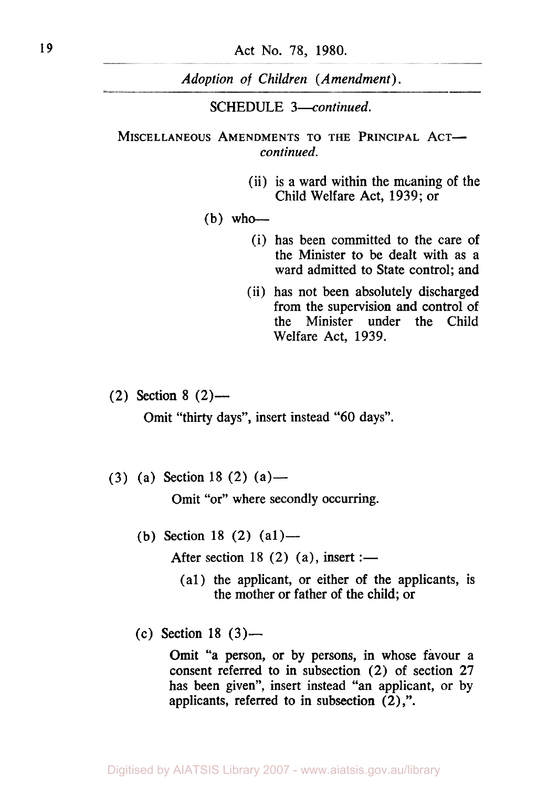# SCHEDULE *3-continued.*

## MISCELLANEOUS AMENDMENTS TO THE PRINCIPAL ACT*continued.*

(ii) is a ward within the meaning of the Child Welfare Act, 1939; or

#### $(b)$  who-

- (i) has been committed to the care of the Minister to be dealt with as a ward admitted to State control; and
- (ii) has not been absolutely discharged from the supervision and control of the Minister under the Child Welfare Act, 1939.

(2) Section 8 **(2)-** 

Omit "thirty days", insert instead "60 days".

(3) (a) Section 18 (2) (a) —

Omit "or" where secondly occurring.

(b) Section 18 (2)  $(a1)$ —

After section 18  $(2)$   $(a)$ , insert :-

- (a1) the applicant, or either of the applicants, is the mother or father of the child; or
- (c) Section 18 **(3)-**

Omit "a person, or by persons, in whose favour a consent referred to in subsection (2) of section 27 has been given", insert instead "an applicant, or by applicants, referred to in subsection **(2)** ,".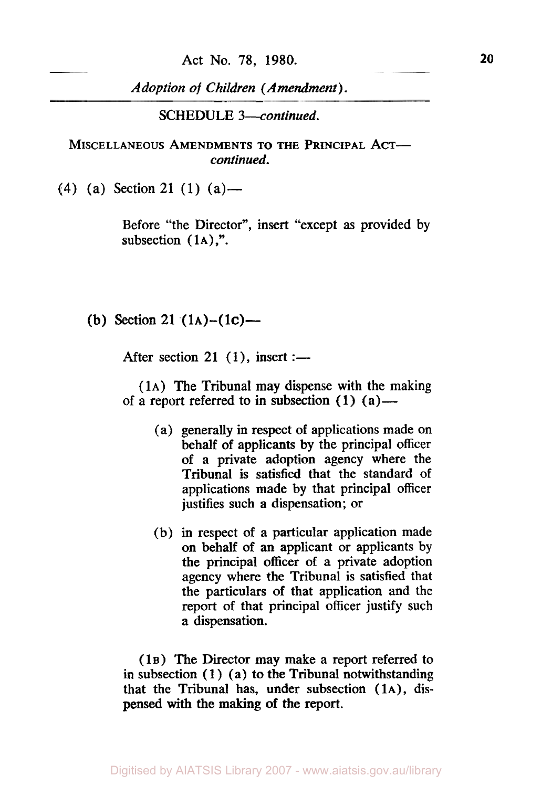**SCHEDULE** *3-continued.* 

**MISCELLANEOUS AMENDMENTS TO THE PRINCIPAL ACT***continued.* 

**(4)** (a) Section **21 (1)** (a)-

Before "the Director", insert "except as provided by subsection  $(1A)$ ,".

**(b)** Section **21 (1A)-( 1c)-** 

After section 21 (1), insert :-

**(1A)** The Tribunal may dispense with the making of a report referred to in subsection  $(1)$   $(a)$ —

- (a) generally in respect of applications made on behalf of applicants by the principal officer of a private adoption agency where the Tribunal is satisfied that the standard of applications made by that principal officer justifies such a dispensation; or
- (b) in respect of a particular application made on behalf of an applicant or applicants by the principal officer of a private adoption agency where the Tribunal is satisfied that the particulars of that application and the report of that principal officer justify such a dispensation.

**(1B)** The Director may make a report referred to in subsection (1) (a) to the Tribunal notwithstanding that the Tribunal has, under subsection **(1A),** dispensed with the making of the report.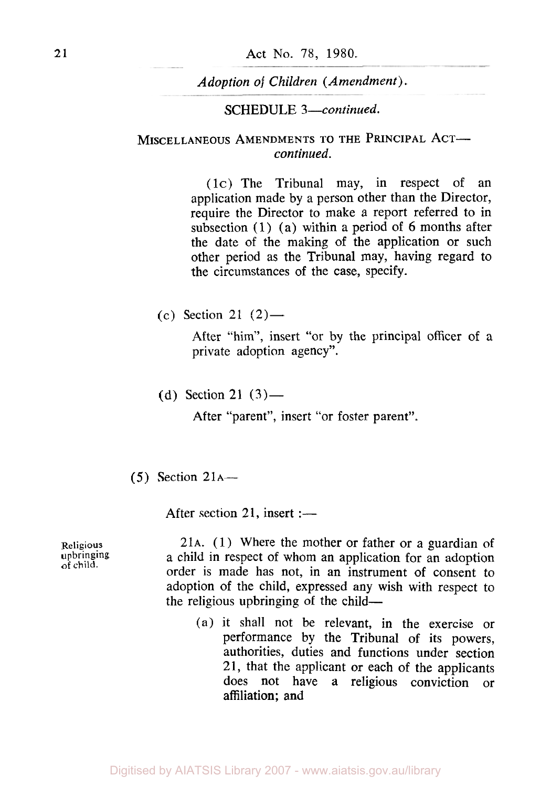### SCHEDULE *3-continued.*

# MISCELLANEOUS AMENDMENTS TO THE PRINCIPAL ACT*continued.*

(1c) The Tribunal may, in respect of an application made by a person other than the Director, require the Director to make a report referred to in subsection (1) (a) within a period of **6** months after the date of the making of the application or such other period as the Tribunal may, having regard to the circumstances of the case, specify.

(c) Section 21  $(2)$ —

After "him", insert "or by the principal officer of a private adoption agency".

(d) Section 21  $(3)$ —

After "parent", insert "or foster parent".

 $(5)$  Section 21<sub>A</sub>—

After section 21, insert  $:$   $-$ 

**Religious upbringing**  of child.

21A. (1 ) Where the mother or father or a guardian of a child in respect of whom an application for an adoption order is made has not, in an instrument of consent to adoption of the child, expressed any wish with respect to the religious upbringing of the child-

(a) it shall not be relevant, in the exercise or performance by the Tribunal of its powers, authorities, duties and functions under section 21, that the applicant or each of the applicants does not have a religious conviction or affiliation; and